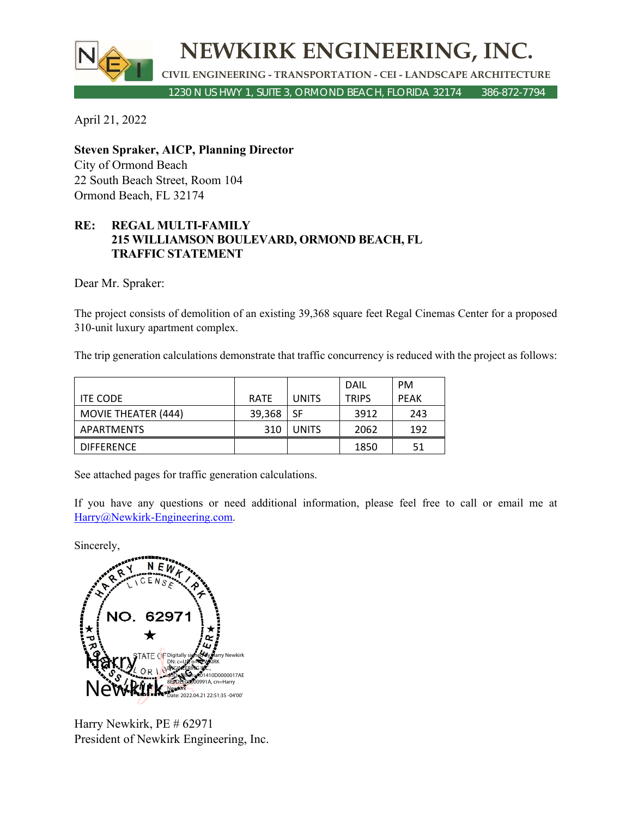

April 21, 2022

**Steven Spraker, AICP, Planning Director**  City of Ormond Beach 22 South Beach Street, Room 104 Ormond Beach, FL 32174

## **RE: REGAL MULTI-FAMILY 215 WILLIAMSON BOULEVARD, ORMOND BEACH, FL TRAFFIC STATEMENT**

Dear Mr. Spraker:

The project consists of demolition of an existing 39,368 square feet Regal Cinemas Center for a proposed 310-unit luxury apartment complex.

The trip generation calculations demonstrate that traffic concurrency is reduced with the project as follows:

|                            |             |              | DAIL         | <b>PM</b>   |
|----------------------------|-------------|--------------|--------------|-------------|
| <b>ITE CODE</b>            | <b>RATE</b> | <b>UNITS</b> | <b>TRIPS</b> | <b>PEAK</b> |
| <b>MOVIE THEATER (444)</b> | 39,368      | -SF          | 3912         | 243         |
| APARTMENTS                 | 310         | <b>UNITS</b> | 2062         | 192         |
| <b>DIFFERENCE</b>          |             |              | 1850         | 51          |

See attached pages for traffic generation calculations.

If you have any questions or need additional information, please feel free to call or email me at Harry@Newkirk-Engineering.com.

Sincerely,



Harry Newkirk, PE # 62971 President of Newkirk Engineering, Inc.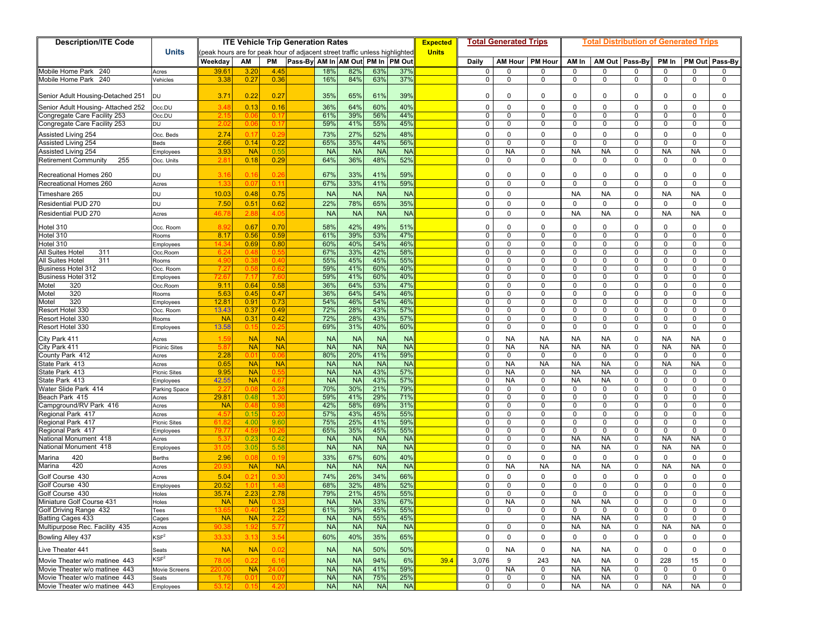| <b>Description/ITE Code</b>                         | <b>ITE Vehicle Trip Generation Rates</b> |                                                                            |                          |              |                                    |                        |                        |                        |                        |              |                   | <b>Total Generated Trips</b> |                   | Total Distribution of Generated Trips |                            |                   |                        |                         |                |  |  |
|-----------------------------------------------------|------------------------------------------|----------------------------------------------------------------------------|--------------------------|--------------|------------------------------------|------------------------|------------------------|------------------------|------------------------|--------------|-------------------|------------------------------|-------------------|---------------------------------------|----------------------------|-------------------|------------------------|-------------------------|----------------|--|--|
|                                                     | <b>Units</b>                             | peak hours are for peak hour of adjacent street traffic unless highlighted |                          |              |                                    |                        |                        |                        |                        | <b>Units</b> |                   |                              |                   |                                       |                            |                   |                        |                         |                |  |  |
|                                                     |                                          | Weekday                                                                    | AM                       | PM           | Pass-By AM In AM Out PM In  PM Out |                        |                        |                        |                        |              | Daily             |                              | AM Hour   PM Hour | AM In                                 |                            | AM Out Pass-By    | PM In                  |                         | PM Out Pass-By |  |  |
| Mobile Home Park 240                                | Acres                                    | 39.6                                                                       | 3.20                     | -4.45        |                                    | 18%                    | 82%                    | 63%                    | 37%                    |              | 0                 | 0                            | 0                 | $\mathbf 0$                           | $\mathbf 0$                | $\mathbf{0}$      | 0                      | $\Omega$                | 0              |  |  |
| Mobile Home Park<br>240                             | Vehicles                                 | 3.38                                                                       | 0.27                     | 0.36         |                                    | 16%                    | 84%                    | 63%                    | 37%                    |              | 0                 | 0                            | 0                 | 0                                     | 0                          | 0                 | 0                      | $\Omega$                | 0              |  |  |
| Senior Adult Housing-Detached 251                   | DU                                       | 3.71                                                                       | 0.22                     | 0.27         |                                    | 35%                    | 65%                    | 61%                    | 39%                    |              | $\mathbf{0}$      | 0                            | 0                 | $\mathbf 0$                           | 0                          | 0                 | $\Omega$               | $\Omega$                | 0              |  |  |
| Senior Adult Housing- Attached 252                  | Occ.DU                                   | 3.4                                                                        | 0.13                     | 0.16         |                                    | 36%                    | 64%                    | 60%                    | 40%                    |              | $\mathbf 0$       | $\mathbf 0$                  | $\Omega$          | $\mathbf 0$                           | $\Omega$                   | $\mathbf{0}$      | $\Omega$               | $\Omega$                | 0              |  |  |
| Congregate Care Facility 253                        | Occ.DU                                   | 2.1                                                                        | 0.0                      | 0.1          |                                    | 61%                    | 39%                    | 56%                    | 44%                    |              | $\mathbf 0$       | $\mathbf 0$                  | $\Omega$          | $\mathbf 0$                           | $\mathbf 0$                | $\mathbf{0}$      | $\Omega$               | $\Omega$                | $\mathbf 0$    |  |  |
| Congregate Care Facility 253                        | DU                                       | 2.0                                                                        | 0.0                      | 0.1          |                                    | 59%                    | 41%                    | 55%                    | 45%                    |              | $\mathbf{0}$      | 0                            | 0                 | 0                                     | 0                          | 0                 | 0                      | $\mathbf 0$             | 0              |  |  |
|                                                     |                                          | 2.74                                                                       | 0.1                      | 0.29         |                                    | 73%                    | 27%                    | 52%                    | 48%                    |              | 0                 | $\mathbf 0$                  | $\Omega$          | $\mathbf 0$                           | $\mathbf 0$                | $\mathbf{0}$      | 0                      | $\Omega$                | 0              |  |  |
| Assisted Living 254<br>Assisted Living 254          | Occ. Beds<br>Beds                        | 2.66                                                                       | 0.14                     | 0.22         |                                    | 65%                    | 35%                    | 44%                    | 56%                    |              | 0                 | $\mathbf 0$                  | $\Omega$          | $\mathbf 0$                           | $\mathbf 0$                | $\mathbf 0$       | $\mathbf 0$            | $\mathbf 0$             | 0              |  |  |
| Assisted Living 254                                 | Employees                                | 3.93                                                                       | <b>NA</b>                | 0.55         |                                    | <b>NA</b>              | <b>NA</b>              | <b>NA</b>              | <b>NA</b>              |              | $\mathbf 0$       | <b>NA</b>                    | 0                 | <b>NA</b>                             | <b>NA</b>                  | $\mathbf 0$       | <b>NA</b>              | <b>NA</b>               | 0              |  |  |
| 255<br><b>Retirement Community</b>                  | Occ. Units                               | 2.8                                                                        | 0.18                     | 0.29         |                                    | 64%                    | 36%                    | 48%                    | 52%                    |              | $\mathbf 0$       | 0                            | 0                 | $\mathbf 0$                           | 0                          | 0                 | 0                      | $\mathbf 0$             | 0              |  |  |
| Recreational Homes 260                              | DU                                       | 3.1                                                                        | 0.1                      | 0.2          |                                    | 67%                    | 33%                    | 41%                    | 59%                    |              | $\mathbf 0$       | $\mathbf 0$                  | $\Omega$          | $\Omega$                              | $\Omega$                   | $\mathbf 0$       | $\Omega$               | $\Omega$                | 0              |  |  |
| Recreational Homes 260                              | Acres                                    |                                                                            | 0.0                      | 0.1          |                                    | 67%                    | 33%                    | 41%                    | 59%                    |              | $\mathbf 0$       | $\mathbf 0$                  | $\Omega$          | $\mathbf 0$                           | $\mathbf 0$                | $\mathbf 0$       | $\Omega$               | $\Omega$                | $\mathbf 0$    |  |  |
| Timeshare 265                                       | DU                                       | 10.03                                                                      | 0.48                     | 0.75         |                                    | <b>NA</b>              | <b>NA</b>              | <b>NA</b>              | <b>NA</b>              |              | $\mathbf 0$       | $\mathbf 0$                  |                   | <b>NA</b>                             | <b>NA</b>                  | $\mathbf 0$       | <b>NA</b>              | <b>NA</b>               | $\mathbf 0$    |  |  |
| Residential PUD 270                                 | DU                                       | 7.50                                                                       | $0.5^{\circ}$            | 0.62         |                                    | 22%                    | 78%                    | 65%                    | 35%                    |              | $\mathbf 0$       | $\mathbf 0$                  | $\mathbf 0$       | $\mathbf 0$                           | $\mathbf 0$                | $\mathbf 0$       | $\mathbf 0$            | $\mathbf 0$             | $\mathbf 0$    |  |  |
|                                                     |                                          |                                                                            |                          |              |                                    |                        |                        |                        |                        |              |                   |                              |                   |                                       |                            |                   |                        |                         |                |  |  |
| <b>Residential PUD 270</b>                          | Acres                                    | 46.7                                                                       | 2.88                     | 4.05         |                                    | <b>NA</b>              | <b>NA</b>              | <b>NA</b>              | <b>NA</b>              |              | $\mathbf 0$       | $\pmb{0}$                    | $\mathbf 0$       | <b>NA</b>                             | <b>NA</b>                  | $\mathbf 0$       | <b>NA</b>              | <b>NA</b>               | $\mathbf 0$    |  |  |
| Hotel 310                                           | Occ. Room                                | 8.9                                                                        | 0.67                     | 0.70         |                                    | 58%                    | 42%                    | 49%                    | 51%                    |              | $\mathbf 0$       | $\mathbf 0$                  | $\Omega$          | $\mathbf 0$                           | $\mathbf 0$                | $\Omega$          | $\Omega$               | $\Omega$                | 0              |  |  |
| Hotel 310                                           | रेooms                                   | 8.17                                                                       | 0.56                     | 0.59         |                                    | 61%                    | 39%                    | 53%                    | 47%                    |              | $\mathbf 0$       | 0                            | $\Omega$          | $\mathbf 0$                           | $\mathbf 0$                | 0                 | 0                      | $\mathbf 0$             | 0              |  |  |
| Hotel 310                                           | Employees                                | 14.3                                                                       | 0.69                     | 0.80         |                                    | 60%                    | 40%                    | 54%                    | 46%                    |              | $\mathbf 0$       | 0                            | 0                 | 0                                     | 0                          | 0                 | 0                      | $\Omega$                | 0              |  |  |
| 311<br>All Suites Hotel                             | Occ.Room                                 | 6.2                                                                        | 0.4                      | 0.5          |                                    | 67%                    | 33%                    | 42%                    | 58%                    |              | $\mathbf 0$       | $\mathbf 0$                  | $\Omega$          | $\mathbf 0$                           | 0                          | $\mathbf{0}$      | 0                      | $\Omega$                | $\mathbf 0$    |  |  |
| 311<br>All Suites Hotel                             | रेooms                                   | $\sim$ 4.1                                                                 | 0.3                      | 0.4          |                                    | 55%                    | 45%                    | 45%                    | 55%                    |              | 0                 | 0                            | 0                 | 0                                     | 0                          | 0                 | 0                      | 0                       | 0              |  |  |
| <b>Business Hotel 312</b>                           | Cc. Room                                 | -7.2                                                                       | 0.5                      | 0.6          |                                    | 59%                    | 41%                    | 60%                    | 40%                    |              | $\mathbf 0$       | $\mathbf 0$                  | 0                 | $\mathbf 0$                           | $\mathbf 0$                | $\mathbf 0$       | 0                      | $\Omega$                | 0              |  |  |
| <b>Business Hotel 312</b>                           | <b>Employees</b>                         | 72.6                                                                       | 7.1                      | 7.6          |                                    | 59%                    | 41%                    | 60%                    | 40%                    |              | $\mathbf 0$       | $\mathbf 0$                  | $\Omega$          | $\mathbf 0$                           | 0                          | $\mathbf{0}$      | 0                      | 0                       | $\mathbf 0$    |  |  |
| 320<br>Motel                                        | Occ.Room                                 | 9.11                                                                       | 0.64                     | 0.58<br>0.47 |                                    | 36%<br>36%             | 64%<br>64%             | 53%<br>54%             | 47%<br>46%             |              | 0<br>$\mathbf{0}$ | $\mathbf 0$<br>$\mathbf 0$   | $\Omega$<br>0     | $\mathbf 0$<br>0                      | $\mathbf 0$<br>$\mathbf 0$ | 0                 | $\Omega$<br>0          | $\mathbf 0$<br>$\Omega$ | 0<br>0         |  |  |
| 320<br>Motel<br>320<br>Motel                        | <b>Rooms</b>                             | 5.63<br>$12.8^{\circ}$                                                     | 0.45<br>0.9 <sup>′</sup> | 0.73         |                                    | 54%                    | 46%                    | 54%                    | 46%                    |              | $\mathbf 0$       | $\mathbf 0$                  | $\Omega$          | $\mathbf 0$                           | $\Omega$                   | 0<br>$\mathbf 0$  | $\Omega$               | $\Omega$                | $\mathbf 0$    |  |  |
| Resort Hotel 330                                    | mployees<br>Occ. Room                    | 13.43                                                                      | 0.37                     | 0.49         |                                    | 72%                    | 28%                    | 43%                    | 57%                    |              | 0                 | 0                            | $\Omega$          | $\mathbf 0$                           | $\mathbf 0$                | $\mathbf 0$       | $\Omega$               | $\mathbf 0$             | 0              |  |  |
| Resort Hotel 330                                    | रेooms                                   | <b>NA</b>                                                                  | 0.3 <sup>′</sup>         | 0.42         |                                    | 72%                    | 28%                    | 43%                    | 57%                    |              | $\mathbf 0$       | $\mathbf 0$                  | 0                 | 0                                     | $\mathbf 0$                | $\mathbf 0$       | 0                      | $\mathbf 0$             | 0              |  |  |
| Resort Hotel 330                                    | <b>Employees</b>                         | 13.58                                                                      | 0.1                      | 0.2          |                                    | 69%                    | 31%                    | 40%                    | 60%                    |              | $\mathbf{0}$      | 0                            | 0                 | 0                                     | 0                          | 0                 | 0                      | $\Omega$                | 0              |  |  |
|                                                     |                                          | 1.5                                                                        | $N_A$                    | <b>NA</b>    |                                    | <b>NA</b>              |                        |                        | <b>NA</b>              |              |                   | <b>NA</b>                    | <b>NA</b>         | <b>NA</b>                             |                            | $\mathbf{0}$      | <b>NA</b>              | <b>NA</b>               | $\mathbf 0$    |  |  |
| City Park 411<br>City Park 411                      | Acres<br>Picinic Sites                   | 5.8                                                                        | <b>NA</b>                | <b>NA</b>    |                                    | <b>NA</b>              | <b>NA</b><br><b>NA</b> | <b>NA</b><br><b>NA</b> | <b>NA</b>              |              | $\mathbf 0$<br>0  | <b>NA</b>                    | <b>NA</b>         | <b>NA</b>                             | <b>NA</b><br><b>NA</b>     | 0                 | <b>NA</b>              | <b>NA</b>               | 0              |  |  |
| County Park 412                                     | Acres                                    | 2.28                                                                       | 0.0                      | 0.0          |                                    | 80%                    | 20%                    | 41%                    | 59%                    |              | $\mathbf 0$       | $\mathbf 0$                  | 0                 | 0                                     | $\mathbf 0$                | $\mathbf 0$       | 0                      | 0                       | 0              |  |  |
| State Park 413                                      | Acres                                    | 0.65                                                                       | <b>NA</b>                | <b>NA</b>    |                                    | <b>NA</b>              | <b>NA</b>              | <b>NA</b>              | $N_A$                  |              | $\mathbf 0$       | <b>NA</b>                    | <b>NA</b>         | <b>NA</b>                             | <b>NA</b>                  | $\mathbf{0}$      | <b>NA</b>              | <b>NA</b>               | $\mathbf 0$    |  |  |
| State Park 413                                      | Picnic Sites                             | 9.95                                                                       | <b>NA</b>                | 0.5          |                                    | <b>NA</b>              | <b>NA</b>              | 43%                    | 57%                    |              | 0                 | <b>NA</b>                    | 0                 | <b>NA</b>                             | <b>NA</b>                  | 0                 | 0                      | 0                       | 0              |  |  |
| State Park 413                                      | Employees                                | 42.5                                                                       | <b>NA</b>                | 4.6          |                                    | <b>NA</b>              | <b>NA</b>              | 43%                    | 57%                    |              | $\mathbf{0}$      | <b>NA</b>                    | 0                 | <b>NA</b>                             | <b>NA</b>                  | $\mathbf 0$       | 0                      | 0                       | 0              |  |  |
| Water Slide Park 414                                | Parking Space                            | 21                                                                         | 0.0                      | 0.2          |                                    | 70%                    | 30%                    | 21%                    | 79%                    |              | $\mathbf 0$       | 0                            | 0                 | $\mathbf 0$                           | 0                          | 0                 | 0                      | $\Omega$                | $\mathbf 0$    |  |  |
| Beach Park 415                                      | Acres                                    | $29.8^{\circ}$                                                             | 0.48                     | 1.3          |                                    | 59%                    | 41%                    | 29%                    | 71%                    |              | 0                 | $\mathbf 0$                  | 0                 | $\mathbf 0$                           | $\mathbf 0$                | $\mathbf 0$       | $\mathbf 0$            | $\Omega$                | 0              |  |  |
| Campground/RV Park 416                              | Acres                                    | <b>NA</b>                                                                  | 0.4                      | - 0.9        |                                    | 42%                    | 58%                    | 69%                    | 31%                    |              | $\mathbf 0$       | $\mathbf 0$                  | 0                 | $\mathbf 0$                           | $\mathbf 0$                | $\mathbf{0}$      | 0                      | $\Omega$                | $\mathbf 0$    |  |  |
| Regional Park 417                                   | Acres                                    | 4.                                                                         | 0.1                      | 0.2          |                                    | 57%                    | 43%                    | 45%                    | 55%                    |              | $\mathbf 0$       | 0                            | $\Omega$          | 0                                     | 0                          | 0                 | $\Omega$               | $\Omega$                | 0              |  |  |
| Regional Park 417                                   | Picnic Sites                             | 61.8                                                                       | 4.0                      | 9.6(         |                                    | 75%                    | 25%                    | 41%                    | 59%                    |              | 0                 | $\mathbf 0$                  | $\Omega$          | $\mathbf 0$                           | $\mathbf 0$                | $\mathbf 0$       | $\mathbf 0$            | $\Omega$                | 0              |  |  |
| Regional Park 417                                   | Employees                                | 79.                                                                        | 4.5                      | 10.2         |                                    | 65%                    | 35%                    | 45%                    | 55%                    |              | $\mathbf 0$       | $\mathbf 0$                  | $\Omega$          | $\mathbf 0$                           | $\mathbf 0$                | $\mathbf 0$       | 0                      | $\Omega$                | 0              |  |  |
| National Monument 418                               | Acres                                    | 5.<br>31.0                                                                 | 0.2<br>3.0               | 0.42<br>5.58 |                                    | <b>NA</b><br><b>NA</b> | <b>NA</b><br><b>NA</b> | <b>NA</b><br><b>NA</b> | <b>NA</b><br><b>NA</b> |              | 0<br>0            | 0<br>$\mathbf 0$             | 0<br>$\mathbf 0$  | <b>NA</b><br><b>NA</b>                | <b>NA</b><br><b>NA</b>     | 0<br>$\mathbf{0}$ | <b>NA</b><br><b>NA</b> | <b>NA</b><br><b>NA</b>  | 0<br>0         |  |  |
| National Monument 418                               | Employees                                |                                                                            |                          |              |                                    |                        |                        |                        |                        |              |                   |                              |                   |                                       |                            |                   |                        |                         |                |  |  |
| 420<br>Marina                                       | <b>Berths</b>                            | 2.96                                                                       | 0.0                      | 0.19         |                                    | 33%                    | 67%                    | 60%                    | 40%                    |              | $\mathbf 0$       | $\mathsf 0$                  | $\mathbf 0$       | $\mathbf 0$                           | $\mathbf 0$                | $\mathbf 0$       | $\mathbf 0$            | $\mathbf 0$             | $\mathbf 0$    |  |  |
| 420<br>Marina                                       | Acres                                    | 20.                                                                        | <b>NA</b>                | <b>NA</b>    |                                    | <b>NA</b>              | <b>NA</b>              | <b>NA</b>              | <b>NA</b>              |              | $\mathbf 0$       | <b>NA</b>                    | <b>NA</b>         | <b>NA</b>                             | <b>NA</b>                  | 0                 | <b>NA</b>              | <b>NA</b>               | 0              |  |  |
| Golf Course 430                                     | Acres                                    | 5.04                                                                       | 0.2                      | 03           |                                    | 74%                    | 26%                    | 34%                    | 66%                    |              | 0                 | $\mathbf 0$                  | 0                 | $\mathbf 0$                           | 0                          | 0                 | $\Omega$               | $\Omega$                | 0              |  |  |
| Golf Course 430                                     | Employees                                | 20.52                                                                      | 1.0                      | 1.4          |                                    | 68%                    | 32%                    | 48%                    | 52%                    |              | $\mathbf 0$       | 0                            | $\Omega$          | 0                                     | 0                          | 0                 | $\Omega$               | $\Omega$                | 0              |  |  |
| Golf Course 430                                     | Holes                                    | 35.74                                                                      | 2.23                     | 2.78         |                                    | 79%                    | 21%                    | 45%                    | 55%                    |              | $\mathbf 0$       | $\mathbf 0$                  | $\Omega$          | $\mathbf 0$                           | 0                          | $\mathbf{0}$      | $\Omega$               | $\Omega$                | 0              |  |  |
| Miniature Golf Course 431<br>Golf Driving Range 432 | Holes<br>Tees                            | <b>NA</b><br>13.6                                                          | <b>NA</b><br>0.4         | 1.25         |                                    | <b>NA</b><br>61%       | <b>NA</b><br>39%       | 33%<br>45%             | 67%<br>55%             |              | 0<br>0            | NA<br>$\mathbf 0$            | 0<br>0            | NA.<br>0                              | NA<br>0                    | 0<br>$\mathbf{0}$ | 0<br>0                 | 0<br>$\Omega$           | 0<br>0         |  |  |
| Batting Cages 433                                   | Cages                                    | <b>NA</b>                                                                  | <b>NA</b>                | 2.2          |                                    | <b>NA</b>              | <b>NA</b>              | 55%                    | 45%                    |              |                   |                              | 0                 | <b>NA</b>                             | <b>NA</b>                  | 0                 | 0                      | $\mathbf 0$             | 0              |  |  |
| Multipurpose Rec. Facility 435                      | Acres                                    | 90.3                                                                       | 1.9                      | 5.7          |                                    | <b>NA</b>              | <b>NA</b>              | <b>NA</b>              | <b>NA</b>              |              | 0                 | 0                            | 0                 | <b>NA</b>                             | <b>NA</b>                  | 0                 | <b>NA</b>              | <b>NA</b>               | 0              |  |  |
| <b>Bowling Alley 437</b>                            | $\mathsf{S}\mathsf{F}^2$                 | 33.3                                                                       | 3.13                     | 3.54         |                                    | 60%                    | 40%                    | 35%                    | 65%                    |              | 0                 | $\mathbf 0$                  | 0                 | 0                                     | $\mathbf 0$                | 0                 | 0                      | $\Omega$                | $\mathbf 0$    |  |  |
| Live Theater 441                                    | Seats                                    | <b>NA</b>                                                                  | <b>NA</b>                | 0.02         |                                    | <b>NA</b>              | <b>NA</b>              | 50%                    | 50%                    |              | 0                 | <b>NA</b>                    | $\mathbf 0$       | <b>NA</b>                             | NA                         | $\mathbf 0$       | $\mathbf 0$            | $\mathbf 0$             | $\mathbf 0$    |  |  |
| Movie Theater w/o matinee 443                       | KSF <sup>2</sup>                         | 78.0                                                                       | 0.22                     | 6.16         |                                    | <b>NA</b>              | <b>NA</b>              | 94%                    | 6%                     | 39.4         | 3,076             | 9                            | 243               | <b>NA</b>                             | <b>NA</b>                  | $\mathbf 0$       | 228                    | 15                      | $\mathbf 0$    |  |  |
| Movie Theater w/o matinee 443                       | Movie Screens                            | 220.0                                                                      | <b>NA</b>                | 24.0         |                                    | <b>NA</b>              | <b>NA</b>              | 41%                    | 59%                    |              | $\mathbf 0$       | <b>NA</b>                    | 0                 | <b>NA</b>                             | <b>NA</b>                  | 0                 | $\mathbf 0$            | $\mathbf 0$             | 0              |  |  |
| Movie Theater w/o matinee 443                       | Seats                                    | 1.7                                                                        | 0.0                      | 0.0          |                                    | <b>NA</b>              | <b>NA</b>              | 75%                    | 25%                    |              | 0                 | $\mathbf 0$                  | 0                 | <b>NA</b>                             | <b>NA</b>                  | 0                 | 0                      | 0                       | 0              |  |  |
| Movie Theater w/o matinee 443                       | Employees                                | 53.1                                                                       | 0.1                      | 4.2          |                                    | <b>NA</b>              | <b>NA</b>              | <b>NA</b>              | <b>NA</b>              |              | 0                 | $\mathbf 0$                  | 0                 | <b>NA</b>                             | <b>NA</b>                  | 0                 | <b>NA</b>              | <b>NA</b>               | 0              |  |  |
|                                                     |                                          |                                                                            |                          |              |                                    |                        |                        |                        |                        |              |                   |                              |                   |                                       |                            |                   |                        |                         |                |  |  |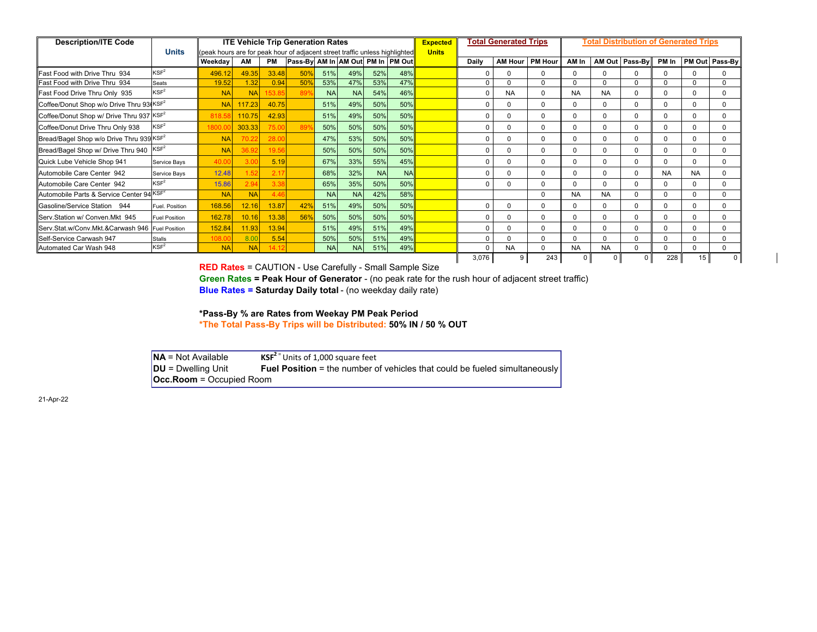| <b>Description/ITE Code</b>                          |                      |                                                                                            |                 |           | <b>ITE Vehicle Trip Generation Rates</b> |           |            |           |           | <b>Expected</b> |          | <b>Total Generated Trips</b> |                | <b>Total Distribution of Generated Trips</b> |             |                |           |           |                |  |  |
|------------------------------------------------------|----------------------|--------------------------------------------------------------------------------------------|-----------------|-----------|------------------------------------------|-----------|------------|-----------|-----------|-----------------|----------|------------------------------|----------------|----------------------------------------------|-------------|----------------|-----------|-----------|----------------|--|--|
|                                                      | <b>Units</b>         | (peak hours are for peak hour of adjacent street traffic unless highlighted <mark>i</mark> |                 |           |                                          |           |            |           |           | <b>Units</b>    |          |                              |                |                                              |             |                |           |           |                |  |  |
|                                                      |                      | Weekday                                                                                    | AM              | <b>PM</b> | Pass-By AM In AM Out PM In  PM Out       |           |            |           |           |                 | Daily    | <b>AM Hour</b>               | <b>PM Hour</b> | AM In                                        |             | AM Out Pass-By | PM In     |           | PM Out Pass-By |  |  |
| Fast Food with Drive Thru 934                        | KSF <sup>2</sup>     | 496.12                                                                                     | 49.35           | 33.48     | 50%                                      | 51%       | 49%        | 52%       | 48%       |                 | r        | $\Omega$                     | $\Omega$       | <sup>0</sup>                                 | $\Omega$    | $\Omega$       |           |           |                |  |  |
| Fast Food with Drive Thru 934                        | <b>Seats</b>         | 19.52                                                                                      | 1.32            | 0.94      | 50%                                      | 53%       | 47%        | 53%       | 47%       |                 | O        | $\Omega$                     | $\Omega$       | $\Omega$                                     | $\Omega$    | U              |           |           | n              |  |  |
| Fast Food Drive Thru Only 935                        | KSF <sup>2</sup>     | <b>NA</b>                                                                                  | <b>NA</b>       |           |                                          | <b>NA</b> | <b>NAI</b> | 54%       | 46%       |                 |          | <b>NA</b>                    | $\Omega$       | <b>NA</b>                                    | <b>NA</b>   | <sup>0</sup>   |           | $\Omega$  |                |  |  |
| Coffee/Donut Shop w/o Drive Thru 93(KSF <sup>2</sup> |                      | <b>NA</b>                                                                                  | 117.23          | 40.75     |                                          | 51%       | 49%        | 50%       | 50%       |                 | C        | $\Omega$                     | $\Omega$       | $\Omega$                                     | $\mathbf 0$ | $\Omega$       |           | $\Omega$  | $\Omega$       |  |  |
| Coffee/Donut Shop w/ Drive Thru 937 KSF <sup>2</sup> |                      | 818.5                                                                                      | 110.75          | 42.93     |                                          | 51%       | 49%        | 50%       | 50%       |                 | C        | $\Omega$                     | $\Omega$       | <sup>0</sup>                                 | $\Omega$    | <sup>0</sup>   |           | n         | <sup>n</sup>   |  |  |
| Coffee/Donut Drive Thru Only 938                     | KSF <sup>2</sup>     | 800.                                                                                       | 303.33          | 75.0      | 89                                       | 50%       | 50%        | 50%       | 50%       |                 | C        | $\Omega$                     | $\Omega$       | <sup>0</sup>                                 | $\Omega$    | <sup>0</sup>   |           | $\Omega$  | 0              |  |  |
| Bread/Bagel Shop w/o Drive Thru 939 KSF <sup>2</sup> |                      | <b>NA</b>                                                                                  | 70 <sup>1</sup> | 28.0      |                                          | 47%       | 53%        | 50%       | 50%       |                 | ſ        | $\Omega$                     | $\Omega$       | $\Omega$                                     | $\Omega$    | $\Omega$       |           | $\Omega$  | $\Omega$       |  |  |
| Bread/Bagel Shop w/ Drive Thru 940                   | KSF <sup>2</sup>     | <b>NA</b>                                                                                  | 36.9            | 19.56     |                                          | 50%       | 50%        | 50%       | 50%       |                 | C        | $\Omega$                     | $\Omega$       | <sup>0</sup>                                 | $\mathbf 0$ | <sup>0</sup>   |           | $\Omega$  | 0              |  |  |
| Quick Lube Vehicle Shop 941                          | Service Bays         | 40.0                                                                                       | 3.0             | 5.19      |                                          | 67%       | 33%        | 55%       | 45%       |                 | C        | $\Omega$                     | $\Omega$       | $\Omega$                                     | $\Omega$    | <sup>0</sup>   |           |           | $\Omega$       |  |  |
| Automobile Care Center 942                           | Service Bays         | 12.48                                                                                      |                 | 2.17      |                                          | 68%       | 32%        | <b>NA</b> | <b>NA</b> |                 | ſ        | $\Omega$                     | $\Omega$       | <sup>0</sup>                                 | $\mathbf 0$ | <sup>0</sup>   | <b>NA</b> | <b>NA</b> | 0              |  |  |
| Automobile Care Center 942                           | KSF <sup>2</sup>     | 15.86                                                                                      |                 | 3.38      |                                          | 65%       | 35%        | 50%       | 50%       |                 | ſ        | $\Omega$                     | $\Omega$       | $\Omega$                                     | $\Omega$    | $\Omega$       |           | $\Omega$  | $\Omega$       |  |  |
| Automobile Parts & Service Center 94                 | KSF <sup>2</sup>     | <b>NA</b>                                                                                  | <b>NA</b>       | 446       |                                          | <b>NA</b> | <b>NA</b>  | 42%       | 58%       |                 |          |                              | $\Omega$       | NA                                           | <b>NA</b>   | $\Omega$       |           | $\Omega$  | $\Omega$       |  |  |
| Gasoline/Service Station 944                         | Fuel, Position       | 168.56                                                                                     | 12.16           | 13.87     | 42%                                      | 51%       | 49%        | 50%       | 50%       |                 | C        | $\Omega$                     | $\Omega$       | $\Omega$                                     | $\mathbf 0$ | $\Omega$       |           |           |                |  |  |
| Serv.Station w/ Conven.Mkt 945                       | <b>Fuel Position</b> | 162.78                                                                                     | 10.16           | 13.38     | 56%                                      | 50%       | 50%        | 50%       | 50%       |                 | $\Omega$ | $\Omega$                     | $\Omega$       | $\Omega$                                     | $\Omega$    | $\Omega$       |           |           |                |  |  |
| Serv.Stat.w/Conv.Mkt.&Carwash 946                    | <b>Fuel Position</b> | 152.84                                                                                     | 11.93           | 13.94     |                                          | 51%       | 49%        | 51%       | 49%       |                 | C        | $\Omega$                     | $\Omega$       | <sup>0</sup>                                 | $\mathbf 0$ | 0              |           |           |                |  |  |
| Self-Service Carwash 947                             | <b>Stalls</b>        | 108.0                                                                                      | 8.00            | 5.54      |                                          | 50%       | 50%        | 51%       | 49%       |                 | C        | $\Omega$                     | $\Omega$       | $\Omega$                                     | $\Omega$    | $\Omega$       |           |           | $\Omega$       |  |  |
| Automated Car Wash 948                               | KSF <sup>2</sup>     | <b>NA</b>                                                                                  | <b>NA</b>       | 14.12     |                                          | <b>NA</b> | <b>NAI</b> | 51%       | 49%       |                 | $\Omega$ | <b>NA</b>                    | $\Omega$       | <b>NA</b>                                    | <b>NA</b>   | $\Omega$       |           | $\Omega$  | $\Omega$       |  |  |
|                                                      |                      |                                                                                            |                 |           |                                          |           |            |           |           |                 | 3,076    |                              | 243            |                                              |             | <sup>0</sup>   | 228       | 15        |                |  |  |

**RED Rates** = CAUTION - Use Carefully - Small Sample Size

**Green Rates = Peak Hour of Generator** - (no peak rate for the rush hour of adjacent street traffic)

**Blue Rates = Saturday Daily total** - (no weekday daily rate)

**\*Pass-By % are Rates from Weekay PM Peak Period \*The Total Pass-By Trips will be Distributed: 50% IN / 50 % OUT**

**NA** = Not Available**KSF<sup>2</sup>** = Units of 1,000 square feet

**Fuel Position** = the number of vehicles that could be fueled simultaneously **DU** = Dwelling Unit **Fue**<br>**Occ.Room** = Occupied Room

21-Apr-22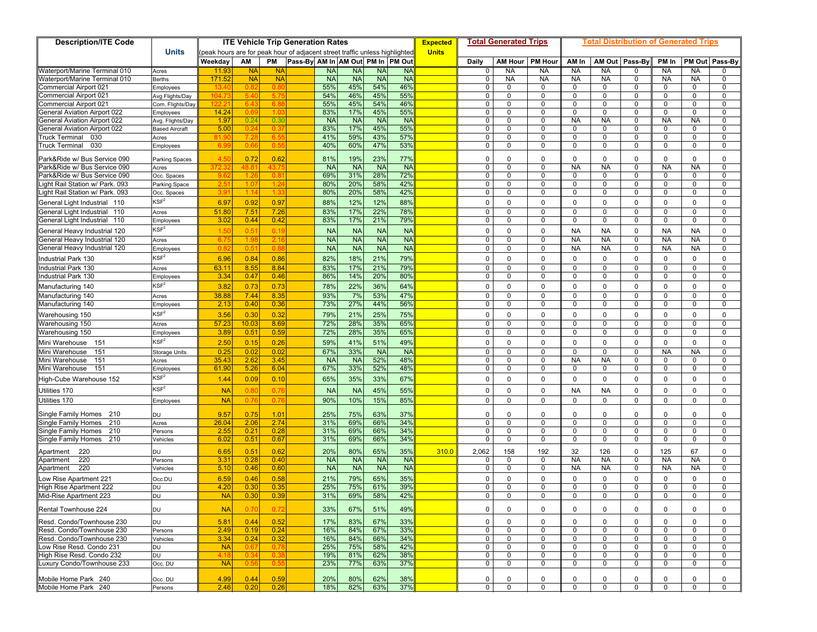| <b>ITE Vehicle Trip Generation Rates</b><br><b>Description/ITE Code</b> |                               |                                                                            |               |               |                                    |                        |                        |                        |                                 |                     | <b>Total Generated Trips</b> |                    | Total Distribution of Generated Trips |                        |                  |                        |                        |             |  |  |
|-------------------------------------------------------------------------|-------------------------------|----------------------------------------------------------------------------|---------------|---------------|------------------------------------|------------------------|------------------------|------------------------|---------------------------------|---------------------|------------------------------|--------------------|---------------------------------------|------------------------|------------------|------------------------|------------------------|-------------|--|--|
|                                                                         | <b>Units</b>                  | peak hours are for peak hour of adjacent street traffic unless highlighted |               |               |                                    |                        |                        |                        | <b>Expected</b><br><b>Units</b> |                     |                              |                    |                                       |                        |                  |                        |                        |             |  |  |
|                                                                         |                               | Weekday                                                                    | AM            | PM            | Pass-By AM In AM Out PM In  PM Out |                        |                        |                        |                                 | Daily               | <b>AM Hour</b>               | <b>PM Hour</b>     | AM In                                 | AM Out                 | Pass-By          | PM In                  | PM Out                 | Pass-By     |  |  |
| Waterport/Marine Terminal 010                                           | Acres                         | 11.9                                                                       | <b>NA</b>     | <b>NA</b>     | <b>NA</b>                          | <b>NA</b>              | <b>NA</b>              | <b>NA</b>              |                                 | 0                   | <b>NA</b>                    | <b>NA</b>          | <b>NA</b>                             | <b>NA</b>              | $\mathbf{0}$     | <b>NA</b>              | <b>NA</b>              | 0           |  |  |
| Waterport/Marine Terminal 010                                           | <b>Berths</b>                 | 171.52                                                                     | <b>NA</b>     | <b>NA</b>     | <b>NA</b>                          | <b>NA</b>              | <b>NA</b>              | <b>NA</b>              |                                 | 0                   | <b>NA</b>                    | <b>NA</b>          | <b>NA</b>                             | <b>NA</b>              | $\mathbf 0$      | <b>NA</b>              | <b>NA</b>              | 0           |  |  |
| Commercial Airport 021                                                  | Employees                     | 13.4                                                                       | 0.8           | 0.8           | 55%                                | 45%                    | 54%                    | 46%                    |                                 | $\mathbf 0$         | $\mathbf 0$                  | 0                  | $\mathbf 0$                           | 0                      | $\mathbf{0}$     | 0                      | $\Omega$               | 0           |  |  |
| Commercial Airport 021                                                  | Avg Flights/Day               | 104.7                                                                      | 5.4           | 5.7           | 54%                                | 46%                    | 45%                    | 55%                    |                                 | $\mathbf 0$         | $\mathbf 0$                  | $\mathbf 0$        | 0                                     | $\mathbf 0$            | 0                | 0                      | $\Omega$               | 0           |  |  |
| Commercial Airport 021                                                  | Com. Flights/Day              | 122.2                                                                      | -6.4          | 6.8           | 55%                                | 45%                    | 54%                    | 46%                    |                                 | 0                   | $\mathbf 0$                  | 0                  | 0                                     | 0                      | $\mathbf 0$      | 0                      | 0                      | 0           |  |  |
| General Aviation Airport 022                                            | Employees                     | 14.24                                                                      | 0.6           | 1.0           | 83%                                | 17%                    | 45%                    | 55%                    |                                 | $\mathbf 0$         | $\mathbf 0$                  | 0                  | $\mathbf 0$                           | $\mathbf 0$            | $\mathbf{0}$     | $\mathbf 0$            | $\Omega$               | 0           |  |  |
| <b>General Aviation Airport 022</b>                                     | Avg. Flights/Day              | 1.97                                                                       | 0.24          | 0.30          | <b>NA</b>                          | <b>NA</b>              | <b>NA</b>              | <b>NA</b>              |                                 | $\mathbf 0$         | $\mathbf 0$                  | $\mathbf 0$        | <b>NA</b>                             | <b>NA</b>              | $\mathbf{0}$     | <b>NA</b>              | <b>NA</b>              | $\mathbf 0$ |  |  |
| <b>Seneral Aviation Airport 022</b>                                     | <b>Based Aircraft</b>         | 5.00                                                                       | 0.2           | $0.3^{\circ}$ | 83%                                | 17%                    | 45%                    | 55%                    |                                 | 0                   | $\mathbf 0$                  | $\mathbf 0$        | 0                                     | $\mathbf 0$            | $\mathbf 0$      | 0                      | 0                      | 0           |  |  |
| 030<br><b>Truck Terminal</b>                                            | Acres                         | 81.9                                                                       | -7.2          | 6.5           | 41%                                | 59%                    | 43%                    | 57%                    |                                 | $\mathbf 0$         | $\mathbf 0$                  | $\Omega$           | $\mathbf 0$                           | $\Omega$               | $\mathbf{0}$     | $\Omega$               | $\Omega$               | 0           |  |  |
| 030<br>Truck Terminal                                                   | Employees                     | 6.9                                                                        | 0.6           | 0.5           | 40%                                | 60%                    | 47%                    | 53%                    |                                 | 0                   | $\mathbf 0$                  | $\Omega$           | $\mathbf 0$                           | 0                      | $\mathbf 0$      | $\Omega$               | $\Omega$               | 0           |  |  |
| <sup>2</sup> ark&Ride w/ Bus Service 090                                | <b>Parking Spaces</b>         | 4.5                                                                        | 0.72          | 0.62          | 81%                                | 19%                    | 23%                    | 77%                    |                                 | $\Omega$            | $\Omega$                     | $\Omega$           | $\Omega$                              | $\Omega$               | $\mathbf 0$      | $\Omega$               | $\Omega$               | $\mathbf 0$ |  |  |
| Park&Ride w/ Bus Service 090                                            | Acres                         | 372.                                                                       | 48.           | 43.7          | <b>NA</b>                          | <b>NA</b>              | <b>NA</b>              | <b>NA</b>              |                                 | $\mathbf 0$         | $\mathbf 0$                  | $\Omega$           | <b>NA</b>                             | <b>NA</b>              | $\mathbf 0$      | <b>NA</b>              | <b>NA</b>              | 0           |  |  |
| Park&Ride w/ Bus Service 090                                            | Occ. Spaces                   | -9.6                                                                       | $-1.2$        | 0.8           | 69%                                | 31%                    | 28%                    | 72%                    |                                 | $\mathbf 0$         | $\mathbf 0$                  | $\mathbf 0$        | 0                                     | $\mathbf 0$            | 0                | 0                      | 0                      | 0           |  |  |
| Light Rail Station w/ Park. 093                                         | Parking Space                 |                                                                            | 1.0           | 1.2           | 80%                                | 20%                    | 58%                    | 42%                    |                                 | 0                   | 0                            | 0                  | 0                                     | $\mathbf 0$            | 0                | 0                      | $\Omega$               | 0           |  |  |
| Light Rail Station w/ Park. 093                                         | Occ. Spaces                   | 3.9                                                                        | 1.14          | 1.33          | 80%                                | 20%                    | 58%                    | 42%                    |                                 | $\mathbf 0$         | $\mathbf 0$                  | 0                  | $\mathbf 0$                           | 0                      | $\mathbf 0$      | $\mathbf 0$            | $\Omega$               | $\mathbf 0$ |  |  |
| General Light Industrial 110                                            | KSF <sup>2</sup>              | 6.97                                                                       | 0.92          | 0.97          | 88%                                | 12%                    | 12%                    | 88%                    |                                 | $\mathbf 0$         | $\mathbf 0$                  | $\mathbf 0$        | $\mathbf 0$                           | $\mathbf 0$            | $\mathbf 0$      | $\mathbf 0$            | $\mathbf 0$            | $\mathbf 0$ |  |  |
| General Light Industrial<br>110                                         | Acres                         | 51.80                                                                      | 7.51          | 7.26          | 83%                                | 17%                    | 22%                    | 78%                    |                                 | 0                   | 0                            | $\Omega$           | 0                                     | $\mathbf 0$            | 0                | 0                      | $\Omega$               | 0           |  |  |
| General Light Industrial 110                                            | Employees                     | 3.02                                                                       | 0.44          | 0.42          | 83%                                | 17%                    | 21%                    | 79%                    |                                 | $\Omega$            | $\mathbf 0$                  | 0                  | $\mathbf 0$                           | $\mathbf 0$            | $\mathbf{0}$     | $\mathbf 0$            | $\mathbf 0$            | $\mathbf 0$ |  |  |
| General Heavy Industrial 120                                            | KSF <sup>2</sup>              | 1.5(                                                                       | $0.5^{\circ}$ | 0.19          | <b>NA</b>                          | <b>NA</b>              | <b>NA</b>              | <b>NA</b>              |                                 | $\mathbf 0$         | $\mathsf 0$                  | $\mathbf 0$        | <b>NA</b>                             | <b>NA</b>              | $\mathbf{0}$     | <b>NA</b>              | <b>NA</b>              | $\mathbf 0$ |  |  |
| General Heavy Industrial 120                                            | Acres                         | 6.7                                                                        |               | 2.1           | <b>NA</b>                          | <b>NA</b>              | <b>NA</b>              | <b>NA</b>              |                                 | 0                   | $\mathbf 0$                  | 0                  | NA                                    | <b>NA</b>              | 0                | <b>NA</b>              | <b>NA</b>              | 0           |  |  |
| General Heavy Industrial 120                                            | Employees                     | 0.8                                                                        | 0.5           | 0.8           | <b>NA</b>                          | <b>NA</b>              | <b>NA</b>              | <b>NA</b>              |                                 | $\mathbf 0$         | $\pmb{0}$                    | $\mathbf 0$        | <b>NA</b>                             | <b>NA</b>              | $\mathbf{0}$     | <b>NA</b>              | <b>NA</b>              | 0           |  |  |
| <b>Industrial Park 130</b>                                              | $\mathsf{KSF}^2$              | 6.96                                                                       | 0.84          | 0.86          | 82%                                | 18%                    | 21%                    | 79%                    |                                 | $\mathbf 0$         | $\mathbf 0$                  | $\mathbf 0$        | $\mathbf 0$                           | $\mathbf 0$            | $\mathbf 0$      | $\mathbf 0$            | $\mathbf 0$            | $\mathbf 0$ |  |  |
| <b>Industrial Park 130</b>                                              |                               | 63.11                                                                      | 8.55          | 8.84          | 83%                                | 17%                    | 21%                    | 79%                    |                                 | $\mathbf 0$         | $\mathbf 0$                  | $\mathbf 0$        | $\mathbf 0$                           | $\mathbf 0$            | $\mathbf 0$      | $\mathbf 0$            | $\Omega$               | $\mathbf 0$ |  |  |
| ndustrial Park 130                                                      | Acres                         | 3.34                                                                       | 0.47          | 0.46          | 86%                                | 14%                    | 20%                    | 80%                    |                                 | 0                   | 0                            | 0                  | 0                                     | $\mathbf 0$            | 0                | 0                      | $\mathbf 0$            | 0           |  |  |
|                                                                         | Employees<br>$\mathsf{KSF}^2$ |                                                                            |               |               |                                    |                        |                        |                        |                                 |                     |                              |                    |                                       |                        |                  |                        |                        |             |  |  |
| Manufacturing 140                                                       |                               | 3.82                                                                       | 0.73          | 0.73          | 78%                                | 22%                    | 36%                    | 64%                    |                                 | $\mathbf 0$         | $\mathbf 0$                  | $\mathbf 0$        | $\mathbf{0}$                          | $\mathbf 0$            | $\mathbf 0$      | $\mathbf 0$            | $\Omega$               | $\mathbf 0$ |  |  |
| Manufacturing 140                                                       | Acres                         | 38.88                                                                      | 7.44          | 8.35          | 93%                                | 7%                     | 53%                    | 47%                    |                                 | 0                   | $\mathbf 0$                  | $\mathbf 0$        | $\mathbf 0$                           | $\mathbf 0$            | $\mathbf 0$      | 0                      | $\mathbf 0$            | 0           |  |  |
| Manufacturing 140                                                       | Employees                     | 2.13                                                                       | 0.40          | 0.36          | 73%                                | 27%                    | 44%                    | 56%                    |                                 | $\mathbf 0$         | $\mathbf 0$                  | 0                  | $\mathbf 0$                           | $\mathbf 0$            | $\mathbf 0$      | 0                      | $\Omega$               | 0           |  |  |
| Warehousing 150                                                         | $\mathsf{KSF}^2$              | 3.56                                                                       | 0.30          | 0.32          | 79%                                | 21%                    | 25%                    | 75%                    |                                 | $\mathbf 0$         | $\mathbf 0$                  | $\mathbf 0$        | $\mathbf{0}$                          | $\mathbf 0$            | $\mathbf{0}$     | $\Omega$               | $\mathbf 0$            | $\mathbf 0$ |  |  |
| Warehousing 150                                                         | Acres                         | 57.23                                                                      | 10.03         | 8.69          | 72%                                | 28%                    | 35%                    | 65%                    |                                 | $\mathbf 0$         | $\mathbf 0$                  | $\mathbf 0$        | 0                                     | $\mathbf 0$            | $\mathbf 0$      | 0                      | $\Omega$               | 0           |  |  |
| Warehousing 150                                                         | Employees                     | 3.89                                                                       | 0.51          | 0.59          | 72%                                | 28%                    | 35%                    | 65%                    |                                 | $\mathbf 0$         | $\mathbf 0$                  | 0                  | $\mathbf 0$                           | $\mathbf 0$            | $\mathbf{0}$     | 0                      | $\Omega$               | 0           |  |  |
| Mini Warehouse 151                                                      | $\mathsf{KSF}^2$              | 2.50                                                                       | 0.15          | 0.26          | 59%                                | 41%                    | 51%                    | 49%                    |                                 | $\mathbf 0$         | $\mathbf 0$                  | $\mathbf 0$        | $\mathbf{0}$                          | $\mathbf 0$            | $\mathbf{0}$     | $\mathbf 0$            | $\Omega$               | $\mathbf 0$ |  |  |
| 151<br>Mini Warehouse                                                   | <b>Storage Units</b>          | 0.25                                                                       | 0.02          | 0.02          | 67%                                | 33%                    | <b>NA</b>              | <b>NA</b>              |                                 | $\mathbf 0$         | $\mathbf 0$                  | $\mathbf 0$        | $\mathbf 0$                           | $\mathbf 0$            | $\mathbf 0$      | <b>NA</b>              | <b>NA</b>              | 0           |  |  |
| Mini Warehouse<br>151                                                   | Acres                         | 35.43                                                                      | 2.62          | 3.45          | <b>NA</b>                          | <b>NA</b>              | 52%                    | 48%                    |                                 | 0                   | $\mathbf 0$                  | 0                  | <b>NA</b>                             | <b>NA</b>              | $\mathbf{0}$     | 0                      | <sup>0</sup>           | 0           |  |  |
| Mini Warehouse<br>151                                                   | Employees                     | 61.90                                                                      | 5.26          | 6.04          | 67%                                | 33%                    | 52%                    | 48%                    |                                 | 0                   | $\mathbf 0$                  | 0                  | $\mathbf 0$                           | 0                      | 0                | $\Omega$               | $\Omega$               | $\mathbf 0$ |  |  |
| High-Cube Warehouse 152                                                 | $\mathsf{KSF}^2$              | 1.44                                                                       | 0.09          | 0.10          | 65%                                | 35%                    | 33%                    | 67%                    |                                 | $\mathbf 0$         | $\mathbf 0$                  | 0                  | $\mathbf 0$                           | $\mathbf 0$            | $\mathbf{0}$     | $\mathbf 0$            | $\Omega$               | $\mathbf 0$ |  |  |
| Utilities 170                                                           | KSF <sup>2</sup>              | <b>NA</b>                                                                  | 0.8           | 0.76          | <b>NA</b>                          | <b>NA</b>              | 45%                    | 55%                    |                                 | $\mathbf 0$         | $\mathbf 0$                  | $\mathbf 0$        | <b>NA</b>                             | <b>NA</b>              | $\mathbf 0$      | $\mathbf 0$            | $\Omega$               | $\mathbf 0$ |  |  |
| Jtilities 170                                                           | Employees                     | <b>NA</b>                                                                  | 0.7           | 0.7           | 90%                                | 10%                    | 15%                    | 85%                    |                                 | $\Omega$            | $\Omega$                     | $\Omega$           | $\Omega$                              | $\Omega$               | $\Omega$         | $\Omega$               | $\Omega$               | $\Omega$    |  |  |
| Single Family Homes 210                                                 | DU                            | 9.57                                                                       | 0.75          | 1.01          | 25%                                | 75%                    | 63%                    | 37%                    |                                 | 0                   | $\mathbf 0$                  | $\Omega$           | $\mathbf 0$                           | $\Omega$               | $\mathbf 0$      | $\Omega$               | $\Omega$               | 0           |  |  |
| Single Family Homes<br>210                                              | Acres                         | 26.04                                                                      | 2.06          | 2.74          | 31%                                | 69%                    | 66%                    | 34%                    |                                 | $\mathbf 0$         | $\mathbf 0$                  | $\mathbf 0$        | $\mathbf 0$                           | $\mathbf 0$            | $\mathbf 0$      | $\mathbf 0$            | $\Omega$               | $\mathbf 0$ |  |  |
| Single Family Homes<br>210                                              | Persons                       | 2.55                                                                       | 0.21          | 0.28          | 31%                                | 69%                    | 66%                    | 34%                    |                                 | 0                   | $\mathbf 0$                  | 0                  | $\mathbf 0$                           | $\mathbf 0$            | $\mathbf 0$      | 0                      | $\Omega$               | $\mathbf 0$ |  |  |
| Single Family Homes<br>210                                              | Vehicles                      | 6.02                                                                       | 0.51          | 0.67          | 31%                                | 69%                    | 66%                    | 34%                    |                                 | $\mathbf 0$         | $\mathbf 0$                  | 0                  | $\mathbf 0$                           | $\mathbf 0$            | $\mathbf 0$      | 0                      | $\mathbf 0$            | 0           |  |  |
|                                                                         |                               | 6.65                                                                       | 0.51          | 0.62          |                                    |                        | 65%                    |                        | 310.0                           |                     |                              |                    |                                       |                        | $\mathbf 0$      |                        | 67                     | $\mathbf 0$ |  |  |
| 220<br>Apartment                                                        | DU                            |                                                                            |               | 0.40          | 20%                                | 80%                    |                        | 35%                    |                                 | 2,062               | 158                          | 192<br>$\mathbf 0$ | 32                                    | 126                    |                  | 125                    |                        | $\mathbf 0$ |  |  |
| 220<br>Apartment<br>220<br>Apartment                                    | Persons                       | 3.31<br>5.10                                                               | 0.28<br>0.46  | 0.60          | <b>NA</b><br><b>NA</b>             | <b>NA</b><br><b>NA</b> | <b>NA</b><br><b>NA</b> | <b>NA</b><br><b>NA</b> |                                 | $\mathbf 0$<br>0    | $\mathbf 0$<br>0             | 0                  | <b>NA</b><br><b>NA</b>                | <b>NA</b><br><b>NA</b> | $\mathbf 0$<br>0 | <b>NA</b><br><b>NA</b> | <b>NA</b><br><b>NA</b> | 0           |  |  |
|                                                                         | Vehicles                      |                                                                            |               |               |                                    |                        |                        |                        |                                 |                     |                              |                    |                                       |                        |                  |                        |                        |             |  |  |
| ow Rise Apartment 221                                                   | Occ.DU                        | 6.59                                                                       | 0.46          | 0.58          | 21%                                | 79%                    | 65%                    | 35%                    |                                 | $\mathbf 0$         | $\mathsf 0$                  | $\mathbf 0$        | $\mathbf{0}$                          | $\mathbf 0$            | $\mathbf 0$      | $\mathbf 0$            | $\Omega$               | $\mathbf 0$ |  |  |
| High Rise Apartment 222                                                 | DU                            | 4.20                                                                       | 0.30          | 0.35          | 25%                                | 75%                    | 61%                    | 39%                    |                                 | $\mathbf 0$         | $\mathbf 0$                  | 0                  | $\mathbf 0$                           | $\mathbf 0$            | $\mathbf 0$      | 0                      | $\Omega$               | 0           |  |  |
| Mid-Rise Apartment 223                                                  | <b>DU</b>                     | <b>NA</b>                                                                  | 0.30          | 0.39          | 31%                                | 69%                    | 58%                    | 42%                    |                                 | $\mathbf 0$         | $\Omega$                     | 0                  | $\mathbf 0$                           | $\Omega$               | $\Omega$         | $\mathbf 0$            | $\Omega$               | $\mathbf 0$ |  |  |
| Rental Townhouse 224                                                    | DU                            | <b>NA</b>                                                                  | 0.70          | 0.72          | 33%                                | 67%                    | 51%                    | 49%                    |                                 | 0                   | 0                            | $\mathbf 0$        | 0                                     | $\mathbf 0$            | 0                | 0                      | $\mathbf 0$            | 0           |  |  |
| Resd. Condo/Townhouse 230                                               | DU                            | 5.81                                                                       | 0.44          | 0.52          | 17%                                | 83%                    | 67%                    | 33%                    |                                 | $\mathbf 0$         | $\mathbf 0$                  | $\mathbf 0$        | 0                                     | $\mathbf 0$            | $\mathbf 0$      | $\mathbf 0$            | $\mathbf 0$            | $\mathbf 0$ |  |  |
| Resd. Condo/Townhouse 230                                               | Persons                       | 2.49                                                                       | 0.19          | 0.24          | 16%                                | 84%                    | 67%                    | 33%                    |                                 | 0                   | $\mathbf 0$                  | 0                  | $\mathbf 0$                           | $\mathbf 0$            | $^{\circ}$       | 0                      | $\Omega$               | 0           |  |  |
| Resd. Condo/Townhouse 230                                               | Vehicles                      | 3.34                                                                       | 0.24          | 0.32          | 16%                                | 84%                    | 66%                    | 34%                    |                                 | 0                   | $\mathbf 0$                  | 0                  | $\mathbf 0$                           | 0                      | 0                | 0                      | $\mathbf 0$            | 0           |  |  |
| ow Rise Resd. Condo 231                                                 | DU                            | <b>NA</b>                                                                  | 0.6           | 0.78          | 25%                                | 75%                    | 58%                    | 42%                    |                                 | 0                   | $\mathbf 0$                  | 0                  | 0                                     | $\mathbf 0$            | $\mathbf 0$      | 0                      | $\mathbf 0$            | 0           |  |  |
| High Rise Resd. Condo 232                                               | DU                            | 4.18                                                                       | 0.3           | 0.3           | 19%                                | 81%                    | 62%                    | 38%                    |                                 | 0                   | $\mathbf 0$                  | 0                  | 0                                     | $\mathbf 0$            | 0                | 0                      | 0                      | 0           |  |  |
| Luxury Condo/Townhouse 233                                              | Occ. DU                       | <b>NA</b>                                                                  | 0.5           | 0.55          | 23%                                | 77%                    | 63%                    | 37%                    |                                 | 0                   | $\mathbf 0$                  | 0                  | 0                                     | 0                      | $\mathbf 0$      | $\mathbf 0$            | 0                      | 0           |  |  |
|                                                                         |                               |                                                                            |               |               |                                    |                        |                        |                        |                                 |                     |                              |                    | $\mathbf 0$                           |                        |                  |                        |                        |             |  |  |
| Mobile Home Park 240<br>Mobile Home Park 240                            | Occ. DU<br>Persons            | 4.99<br>2.46                                                               | 0.44<br>0.20  | 0.59<br>0.26  | 20%<br>18%                         | 80%<br>82%             | 62%<br>63%             | 38%<br>37%             |                                 | 0<br>$\overline{0}$ | $\mathbf 0$<br>$\mathbf 0$   | 0<br>$\mathbf 0$   | 0                                     | 0<br>$\mathbf 0$       | 0<br>$\mathbf 0$ | 0<br>0                 | 0<br>$\mathbf 0$       | 0<br>0      |  |  |
|                                                                         |                               |                                                                            |               |               |                                    |                        |                        |                        |                                 |                     |                              |                    |                                       |                        |                  |                        |                        |             |  |  |